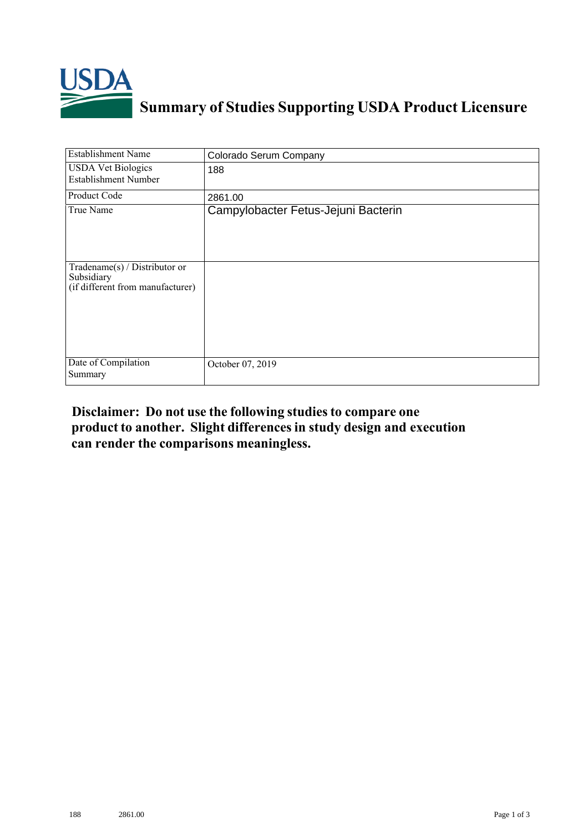

## **Summary of Studies Supporting USDA Product Licensure**

| <b>Establishment Name</b>                                                          | Colorado Serum Company              |
|------------------------------------------------------------------------------------|-------------------------------------|
| <b>USDA Vet Biologics</b><br><b>Establishment Number</b>                           | 188                                 |
| Product Code                                                                       | 2861.00                             |
| True Name                                                                          | Campylobacter Fetus-Jejuni Bacterin |
| Tradename $(s)$ / Distributor or<br>Subsidiary<br>(if different from manufacturer) |                                     |
| Date of Compilation<br>Summary                                                     | October 07, 2019                    |

## **Disclaimer: Do not use the following studiesto compare one product to another. Slight differencesin study design and execution can render the comparisons meaningless.**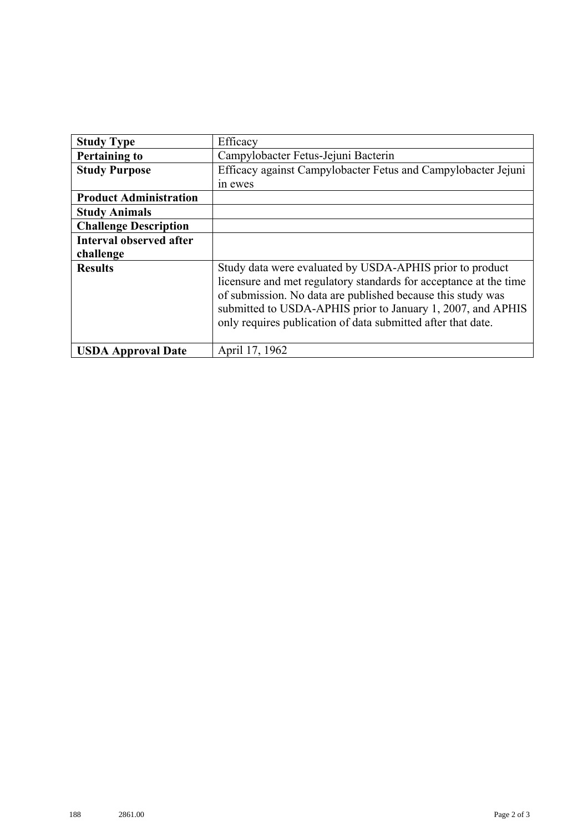| <b>Study Type</b>              | Efficacy                                                                                                                                                                                                                                                                                                                    |
|--------------------------------|-----------------------------------------------------------------------------------------------------------------------------------------------------------------------------------------------------------------------------------------------------------------------------------------------------------------------------|
| <b>Pertaining to</b>           | Campylobacter Fetus-Jejuni Bacterin                                                                                                                                                                                                                                                                                         |
| <b>Study Purpose</b>           | Efficacy against Campylobacter Fetus and Campylobacter Jejuni                                                                                                                                                                                                                                                               |
|                                | in ewes                                                                                                                                                                                                                                                                                                                     |
| <b>Product Administration</b>  |                                                                                                                                                                                                                                                                                                                             |
| <b>Study Animals</b>           |                                                                                                                                                                                                                                                                                                                             |
| <b>Challenge Description</b>   |                                                                                                                                                                                                                                                                                                                             |
| <b>Interval observed after</b> |                                                                                                                                                                                                                                                                                                                             |
| challenge                      |                                                                                                                                                                                                                                                                                                                             |
| <b>Results</b>                 | Study data were evaluated by USDA-APHIS prior to product<br>licensure and met regulatory standards for acceptance at the time<br>of submission. No data are published because this study was<br>submitted to USDA-APHIS prior to January 1, 2007, and APHIS<br>only requires publication of data submitted after that date. |
| <b>USDA Approval Date</b>      | April 17, 1962                                                                                                                                                                                                                                                                                                              |